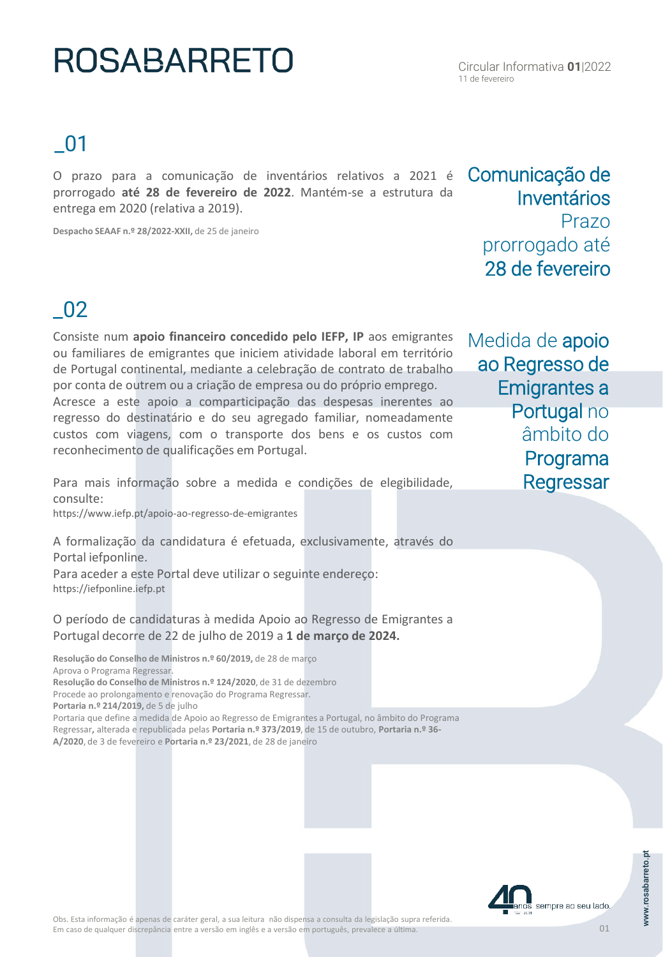# **ROSABARRETO**

### \_01

O prazo para a comunicação de inventários relativos a 2021 é prorrogado **até 28 de fevereiro de 2022**. Mantém-se a estrutura da entrega em 2020 (relativa a 2019).

**Despacho SEAAF n.º 28/2022-XXII,** de 25 de janeiro

### \_02

Consiste num **apoio financeiro concedido pelo IEFP, IP** aos emigrantes ou familiares de emigrantes que iniciem atividade laboral em território de Portugal continental, mediante a celebração de contrato de trabalho por conta de outrem ou a criação de empresa ou do próprio emprego. Acresce a este apoio a comparticipação das despesas inerentes ao regresso do destinatário e do seu agregado familiar, nomeadamente custos com viagens, com o transporte dos bens e os custos com reconhecimento de qualificações em Portugal.

Para mais informação sobre a medida e condições de elegibilidade, consulte:

https://www.iefp.pt/apoio-ao-regresso-de-emigrantes

A formalização da candidatura é efetuada, exclusivamente, através do Portal iefponline.

Para aceder a este Portal deve utilizar o seguinte endereço: https://iefponline.iefp.pt

O período de candidaturas à medida Apoio ao Regresso de Emigrantes a Portugal decorre de 22 de julho de 2019 a **1 de março de 2024.**

**Resolução do Conselho de Ministros n.º 60/2019,** de 28 de março Aprova o Programa Regressar. **Resolução do Conselho de Ministros n.º 124/2020**, de 31 de dezembro Procede ao prolongamento e renovação do Programa Regressar. **Portaria n.º 214/2019,** de 5 de julho Portaria que define a medida de Apoio ao Regresso de Emigrantes a Portugal, no âmbito do Programa Regressar**,** alterada e republicada pelas **Portaria n.º 373/2019**, de 15 de outubro, **Portaria n.º 36-**

**A/2020**, de 3 de fevereiro e **Portaria n.º 23/2021**, de 28 de janeiro

Medida de apoio ao Regresso de Emigrantes a Portugal no âmbito do Programa **Regressar** 



Comunicação de

prorrogado até 28 de fevereiro

Inventários

Prazo

01

sempre ao seu lado.